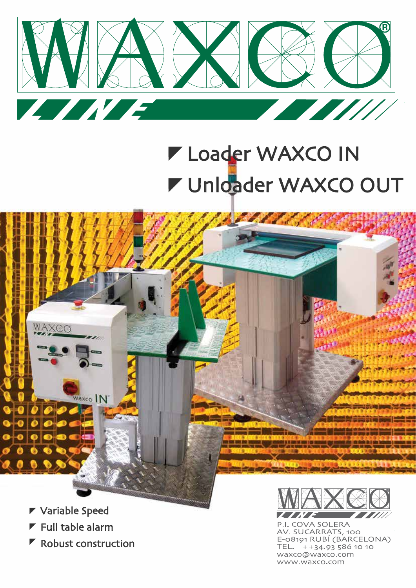

## **V** Unloader WAXCO OUT **Loader WAXCO IN**



AXCC

- $\blacktriangleright$  Full table alarm
- $\blacktriangleright$  Robust construction

Waxco IN



P.I. COVA SOLERA AV. SUCARRATS, 100 E-08191 RUBÍ (BARCELONA) TEL. ++34.93 586 10 10 waxco@waxco.com www.waxco.com